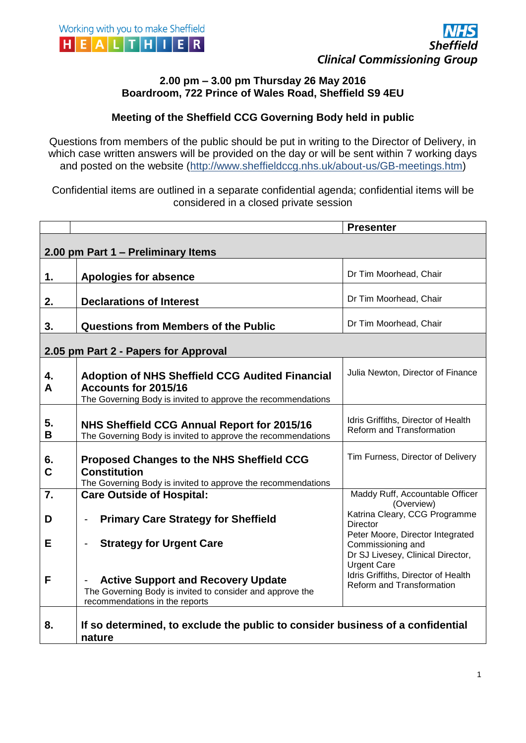

## **2.00 pm – 3.00 pm Thursday 26 May 2016 Boardroom, 722 Prince of Wales Road, Sheffield S9 4EU**

## **Meeting of the Sheffield CCG Governing Body held in public**

Questions from members of the public should be put in writing to the Director of Delivery, in which case written answers will be provided on the day or will be sent within 7 working days and posted on the website (http://www.sheffieldccg.nhs.uk/about-us/GB-meetings.htm)

Confidential items are outlined in a separate confidential agenda; confidential items will be considered in a closed private session

|                                      |                                                                                                                                                | <b>Presenter</b>                                                                                                 |  |
|--------------------------------------|------------------------------------------------------------------------------------------------------------------------------------------------|------------------------------------------------------------------------------------------------------------------|--|
|                                      |                                                                                                                                                |                                                                                                                  |  |
| 2.00 pm Part 1 - Preliminary Items   |                                                                                                                                                |                                                                                                                  |  |
| 1.                                   | <b>Apologies for absence</b>                                                                                                                   | Dr Tim Moorhead, Chair                                                                                           |  |
| 2.                                   | <b>Declarations of Interest</b>                                                                                                                | Dr Tim Moorhead, Chair                                                                                           |  |
| 3.                                   | <b>Questions from Members of the Public</b>                                                                                                    | Dr Tim Moorhead, Chair                                                                                           |  |
| 2.05 pm Part 2 - Papers for Approval |                                                                                                                                                |                                                                                                                  |  |
| 4.<br>A                              | <b>Adoption of NHS Sheffield CCG Audited Financial</b><br>Accounts for 2015/16<br>The Governing Body is invited to approve the recommendations | Julia Newton, Director of Finance                                                                                |  |
| 5.<br>В                              | NHS Sheffield CCG Annual Report for 2015/16<br>The Governing Body is invited to approve the recommendations                                    | Idris Griffiths, Director of Health<br>Reform and Transformation                                                 |  |
| 6.<br>C                              | <b>Proposed Changes to the NHS Sheffield CCG</b><br><b>Constitution</b><br>The Governing Body is invited to approve the recommendations        | Tim Furness, Director of Delivery                                                                                |  |
| 7.                                   | <b>Care Outside of Hospital:</b>                                                                                                               | Maddy Ruff, Accountable Officer                                                                                  |  |
| D                                    | <b>Primary Care Strategy for Sheffield</b>                                                                                                     | (Overview)<br>Katrina Cleary, CCG Programme                                                                      |  |
|                                      |                                                                                                                                                | <b>Director</b>                                                                                                  |  |
| E                                    | <b>Strategy for Urgent Care</b><br>$\overline{a}$                                                                                              | Peter Moore, Director Integrated<br>Commissioning and<br>Dr SJ Livesey, Clinical Director,<br><b>Urgent Care</b> |  |
| F                                    | <b>Active Support and Recovery Update</b><br>The Governing Body is invited to consider and approve the<br>recommendations in the reports       | Idris Griffiths, Director of Health<br>Reform and Transformation                                                 |  |
| 8.                                   | If so determined, to exclude the public to consider business of a confidential<br>nature                                                       |                                                                                                                  |  |